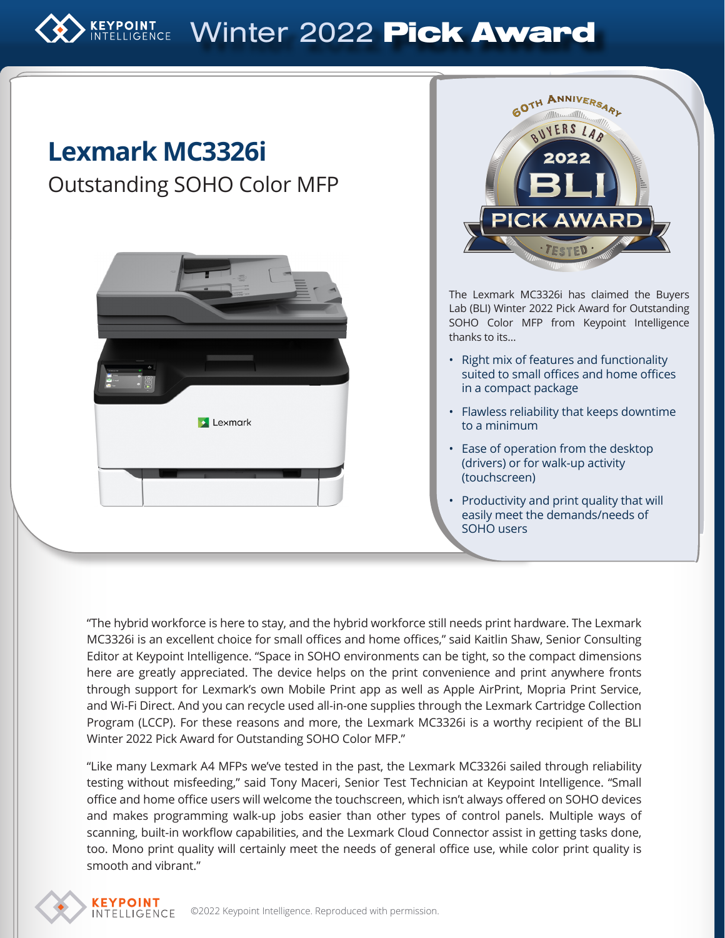# KEYPOINT Winter 2022 Pick Award

## **Lexmark MC3326i**

### Outstanding SOHO Color MFP





The Lexmark MC3326i has claimed the Buyers Lab (BLI) Winter 2022 Pick Award for Outstanding SOHO Color MFP from Keypoint Intelligence thanks to its…

- Right mix of features and functionality suited to small offices and home offices in a compact package
- Flawless reliability that keeps downtime to a minimum
- Ease of operation from the desktop (drivers) or for walk-up activity (touchscreen)
- Productivity and print quality that will easily meet the demands/needs of SOHO users

"The hybrid workforce is here to stay, and the hybrid workforce still needs print hardware. The Lexmark MC3326i is an excellent choice for small offices and home offices," said Kaitlin Shaw, Senior Consulting Editor at Keypoint Intelligence. "Space in SOHO environments can be tight, so the compact dimensions here are greatly appreciated. The device helps on the print convenience and print anywhere fronts through support for Lexmark's own Mobile Print app as well as Apple AirPrint, Mopria Print Service, and Wi-Fi Direct. And you can recycle used all-in-one supplies through the Lexmark Cartridge Collection Program (LCCP). For these reasons and more, the Lexmark MC3326i is a worthy recipient of the BLI Winter 2022 Pick Award for Outstanding SOHO Color MFP."

"Like many Lexmark A4 MFPs we've tested in the past, the Lexmark MC3326i sailed through reliability testing without misfeeding," said Tony Maceri, Senior Test Technician at Keypoint Intelligence. "Small office and home office users will welcome the touchscreen, which isn't always offered on SOHO devices and makes programming walk-up jobs easier than other types of control panels. Multiple ways of scanning, built-in workflow capabilities, and the Lexmark Cloud Connector assist in getting tasks done, too. Mono print quality will certainly meet the needs of general office use, while color print quality is smooth and vibrant."

**KEYPOINT**